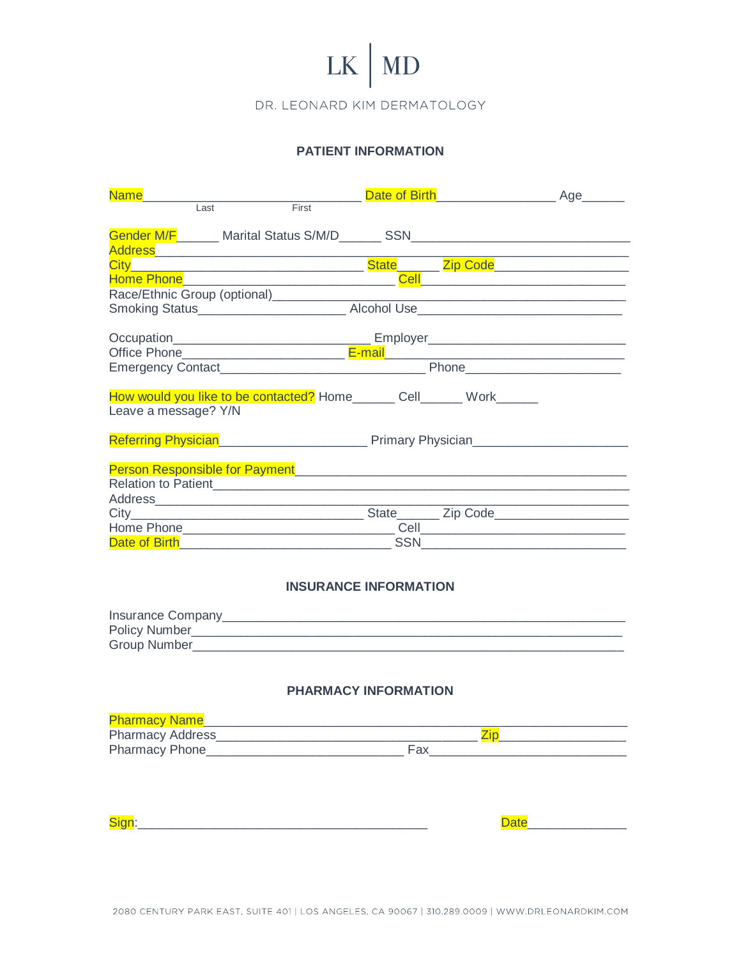# $LK$  MD

DR. LEONARD KIM DERMATOLOGY

## **PATIENT INFORMATION**

| <b>Name</b>                                                                                                                                                                                                                          |  |
|--------------------------------------------------------------------------------------------------------------------------------------------------------------------------------------------------------------------------------------|--|
| First<br>Last                                                                                                                                                                                                                        |  |
| Address Address Address Address Address Address Address Address Address Address A                                                                                                                                                    |  |
|                                                                                                                                                                                                                                      |  |
|                                                                                                                                                                                                                                      |  |
|                                                                                                                                                                                                                                      |  |
|                                                                                                                                                                                                                                      |  |
|                                                                                                                                                                                                                                      |  |
| How would you like to be contacted? Home_______ Cell______ Work______<br>Leave a message? Y/N                                                                                                                                        |  |
| Referring Physician <b>Executive Contract Contract Primary Physician</b>                                                                                                                                                             |  |
|                                                                                                                                                                                                                                      |  |
|                                                                                                                                                                                                                                      |  |
|                                                                                                                                                                                                                                      |  |
| Date of Birth <b>Exercise Contract Contract Contract Contract Contract Contract Contract Contract Contract Contract Contract Contract Contract Contract Contract Contract Contract Contract Contract Contract Contract Contract </b> |  |

#### **INSURANCE INFORMATION**

| Insurance Company |  |
|-------------------|--|
| Policy Number     |  |
| Group Number      |  |

#### PHARMACY INFORMATION

| <b>Pharmacy Name</b>    |  |  |
|-------------------------|--|--|
| <b>Pharmacy Address</b> |  |  |
| <b>Pharmacy Phone</b>   |  |  |

Date 2001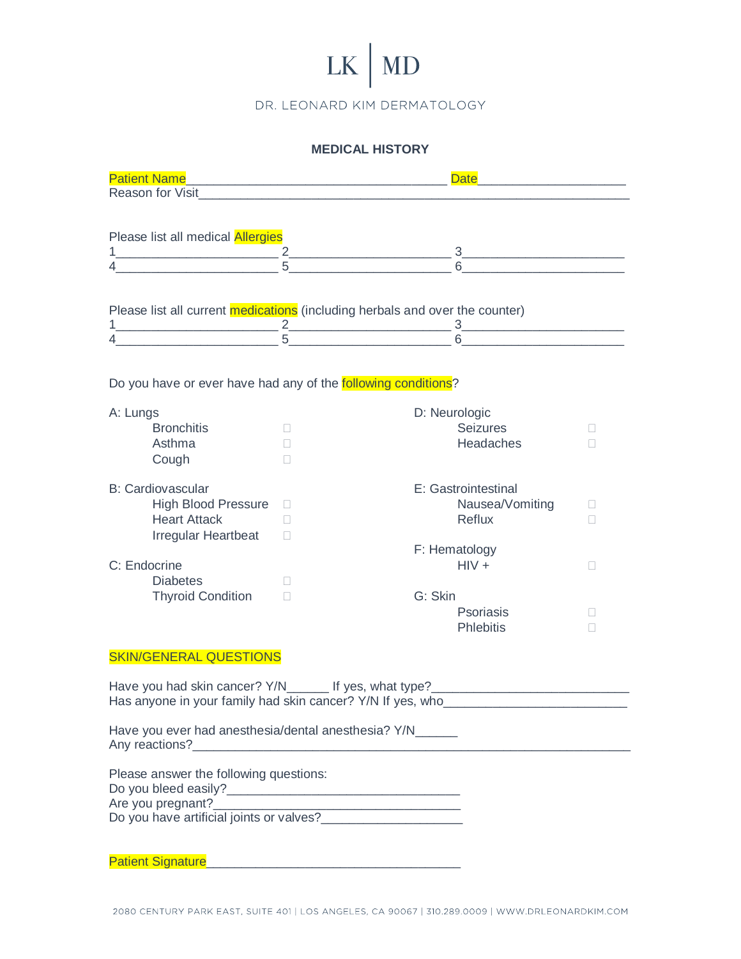# $LK$  MD

DR. LEONARD KIM DERMATOLOGY

### **MEDICAL HISTORY**

| <b>Patient Name</b>                                                   | <u> 1980 - Jan James James, martin amerikan basar dan berasal dalam pengaran basar dalam pengaran basar dalam pe</u> | <b>Date</b><br><u> 1989 - Johann Stein, mars an de Brasilia (b. 1989)</u>         |                |
|-----------------------------------------------------------------------|----------------------------------------------------------------------------------------------------------------------|-----------------------------------------------------------------------------------|----------------|
|                                                                       |                                                                                                                      |                                                                                   |                |
|                                                                       |                                                                                                                      |                                                                                   |                |
| Please list all medical Allergies                                     |                                                                                                                      |                                                                                   |                |
|                                                                       |                                                                                                                      | $\frac{1}{4}$ $\frac{2}{5}$ $\frac{3}{6}$ $\frac{3}{6}$                           |                |
|                                                                       |                                                                                                                      |                                                                                   |                |
|                                                                       |                                                                                                                      |                                                                                   |                |
|                                                                       |                                                                                                                      | Please list all current medications (including herbals and over the counter)      |                |
|                                                                       |                                                                                                                      |                                                                                   |                |
|                                                                       |                                                                                                                      |                                                                                   |                |
|                                                                       |                                                                                                                      |                                                                                   |                |
|                                                                       |                                                                                                                      |                                                                                   |                |
| Do you have or ever have had any of the <b>following conditions</b> ? |                                                                                                                      |                                                                                   |                |
| A: Lungs                                                              |                                                                                                                      | D: Neurologic                                                                     |                |
| <b>Bronchitis</b>                                                     | $\Box$                                                                                                               | <b>Seizures</b>                                                                   | Ш              |
| Asthma                                                                | П                                                                                                                    | <b>Headaches</b>                                                                  | П              |
| Cough                                                                 | $\mathbf{1}$                                                                                                         |                                                                                   |                |
|                                                                       |                                                                                                                      |                                                                                   |                |
| <b>B: Cardiovascular</b>                                              |                                                                                                                      | E: Gastrointestinal                                                               |                |
| <b>High Blood Pressure</b><br><b>Heart Attack</b>                     | $\Box$                                                                                                               | Nausea/Vomiting<br>Reflux                                                         | $\mathbb{R}^n$ |
|                                                                       | П                                                                                                                    |                                                                                   | □              |
| <b>Irregular Heartbeat</b>                                            | $\mathbf{1}$                                                                                                         | F: Hematology                                                                     |                |
| C: Endocrine                                                          |                                                                                                                      | $HIV +$                                                                           | $\mathbb{R}^n$ |
| <b>Diabetes</b>                                                       | П                                                                                                                    |                                                                                   |                |
| <b>Thyroid Condition</b>                                              | П                                                                                                                    | G: Skin                                                                           |                |
|                                                                       |                                                                                                                      | <b>Psoriasis</b>                                                                  | Ш              |
|                                                                       |                                                                                                                      | <b>Phlebitis</b>                                                                  | П              |
|                                                                       |                                                                                                                      |                                                                                   |                |
| <b>SKIN/GENERAL QUESTIONS</b>                                         |                                                                                                                      |                                                                                   |                |
|                                                                       |                                                                                                                      | Have you had skin cancer? Y/N________ If yes, what type?_________________________ |                |
|                                                                       |                                                                                                                      | Has anyone in your family had skin cancer? Y/N If yes, who                        |                |
|                                                                       |                                                                                                                      |                                                                                   |                |
| Have you ever had anesthesia/dental anesthesia? Y/N_____              |                                                                                                                      |                                                                                   |                |
|                                                                       |                                                                                                                      |                                                                                   |                |
| Please answer the following questions:                                |                                                                                                                      |                                                                                   |                |
|                                                                       |                                                                                                                      |                                                                                   |                |
| Are you pregnant?                                                     |                                                                                                                      |                                                                                   |                |
|                                                                       |                                                                                                                      |                                                                                   |                |
|                                                                       |                                                                                                                      |                                                                                   |                |
|                                                                       |                                                                                                                      |                                                                                   |                |
|                                                                       |                                                                                                                      |                                                                                   |                |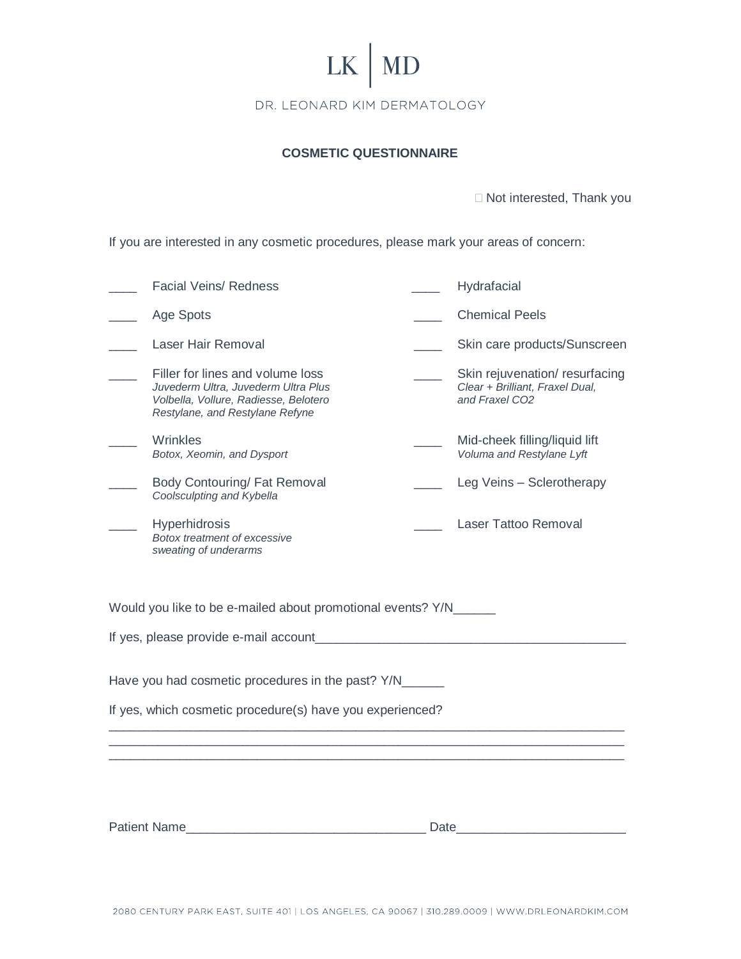

#### **COSMETIC QUESTIONNAIRE**

□ Not interested, Thank you

If you are interested in any cosmetic procedures, please mark your areas of concern:

|                                                           | <b>Facial Veins/ Redness</b>                                                                                                                        |      | Hydrafacial                                                                        |  |  |  |
|-----------------------------------------------------------|-----------------------------------------------------------------------------------------------------------------------------------------------------|------|------------------------------------------------------------------------------------|--|--|--|
|                                                           | Age Spots                                                                                                                                           |      | <b>Chemical Peels</b>                                                              |  |  |  |
|                                                           | Laser Hair Removal                                                                                                                                  |      | Skin care products/Sunscreen                                                       |  |  |  |
|                                                           | Filler for lines and volume loss<br>Juvederm Ultra, Juvederm Ultra Plus<br>Volbella, Vollure, Radiesse, Belotero<br>Restylane, and Restylane Refyne |      | Skin rejuvenation/resurfacing<br>Clear + Brilliant, Fraxel Dual,<br>and Fraxel CO2 |  |  |  |
|                                                           | Wrinkles<br>Botox, Xeomin, and Dysport                                                                                                              |      | Mid-cheek filling/liquid lift<br>Voluma and Restylane Lyft                         |  |  |  |
|                                                           | Body Contouring/ Fat Removal<br>Coolsculpting and Kybella                                                                                           |      | Leg Veins - Sclerotherapy                                                          |  |  |  |
|                                                           | <b>Hyperhidrosis</b><br>Botox treatment of excessive<br>sweating of underarms                                                                       |      | Laser Tattoo Removal                                                               |  |  |  |
|                                                           | Would you like to be e-mailed about promotional events? Y/N_____                                                                                    |      |                                                                                    |  |  |  |
| If yes, please provide e-mail account                     |                                                                                                                                                     |      |                                                                                    |  |  |  |
| Have you had cosmetic procedures in the past? Y/N______   |                                                                                                                                                     |      |                                                                                    |  |  |  |
| If yes, which cosmetic procedure(s) have you experienced? |                                                                                                                                                     |      |                                                                                    |  |  |  |
|                                                           |                                                                                                                                                     |      |                                                                                    |  |  |  |
|                                                           |                                                                                                                                                     |      |                                                                                    |  |  |  |
|                                                           |                                                                                                                                                     |      |                                                                                    |  |  |  |
|                                                           | <b>Patient Name</b>                                                                                                                                 | Date |                                                                                    |  |  |  |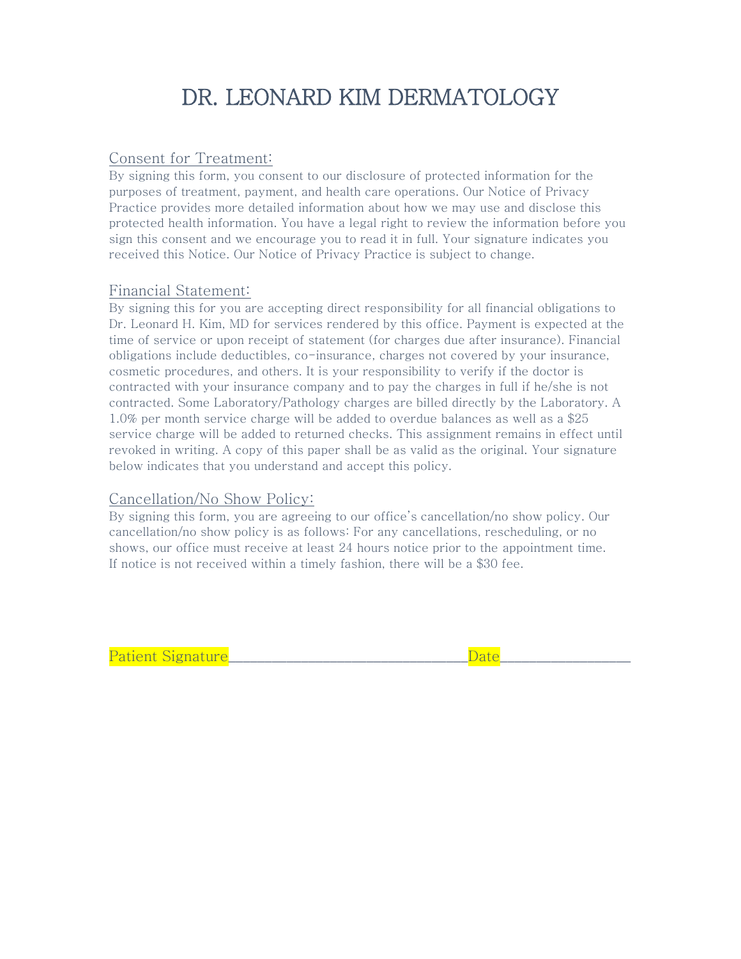## Consent for Treatment:

By signing this form, you consent to our disclosure of protected information for the purposes of treatment, payment, and health care operations. Our Notice of Privacy Practice provides more detailed information about how we may use and disclose this protected health information. You have a legal right to review the information before you sign this consent and we encourage you to read it in full. Your signature indicates you received this Notice. Our Notice of Privacy Practice is subject to change.

### Financial Statement:

By signing this for you are accepting direct responsibility for all financial obligations to Dr. Leonard H. Kim, MD for services rendered by this office. Payment is expected at the time of service or upon receipt of statement (for charges due after insurance). Financial obligations include deductibles, co-insurance, charges not covered by your insurance, cosmetic procedures, and others. It is your responsibility to verify if the doctor is contracted with your insurance company and to pay the charges in full if he/she is not contracted. Some Laboratory/Pathology charges are billed directly by the Laboratory. A 1.0% per month service charge will be added to overdue balances as well as a \$25 service charge will be added to returned checks. This assignment remains in effect until revoked in writing. A copy of this paper shall be as valid as the original. Your signature below indicates that you understand and accept this policy.

## Cancellation/No Show Policy:

By signing this form, you are agreeing to our office's cancellation/no show policy. Our cancellation/no show policy is as follows: For any cancellations, rescheduling, or no shows, our office must receive at least 24 hours notice prior to the appointment time. If notice is not received within a timely fashion, there will be a \$30 fee.

Patient Signature\_\_\_\_\_\_\_\_\_\_\_\_\_\_\_\_\_\_\_\_\_\_\_\_\_\_\_\_\_\_\_\_\_Date\_\_\_\_\_\_\_\_\_\_\_\_\_\_\_\_\_\_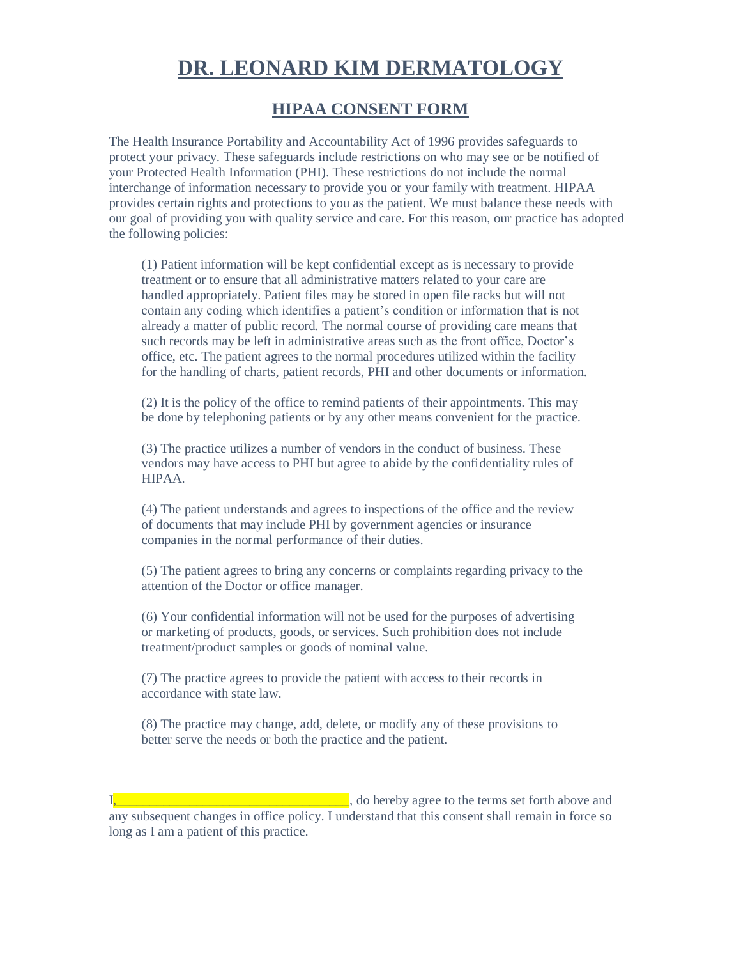# **HIPAA CONSENT FORM**

The Health Insurance Portability and Accountability Act of 1996 provides safeguards to protect your privacy. These safeguards include restrictions on who may see or be notified of your Protected Health Information (PHI). These restrictions do not include the normal interchange of information necessary to provide you or your family with treatment. HIPAA provides certain rights and protections to you as the patient. We must balance these needs with our goal of providing you with quality service and care. For this reason, our practice has adopted the following policies:

(1) Patient information will be kept confidential except as is necessary to provide treatment or to ensure that all administrative matters related to your care are handled appropriately. Patient files may be stored in open file racks but will not contain any coding which identifies a patient's condition or information that is not already a matter of public record. The normal course of providing care means that such records may be left in administrative areas such as the front office, Doctor's office, etc. The patient agrees to the normal procedures utilized within the facility for the handling of charts, patient records, PHI and other documents or information.

(2) It is the policy of the office to remind patients of their appointments. This may be done by telephoning patients or by any other means convenient for the practice.

(3) The practice utilizes a number of vendors in the conduct of business. These vendors may have access to PHI but agree to abide by the confidentiality rules of HIPAA.

(4) The patient understands and agrees to inspections of the office and the review of documents that may include PHI by government agencies or insurance companies in the normal performance of their duties.

(5) The patient agrees to bring any concerns or complaints regarding privacy to the attention of the Doctor or office manager.

(6) Your confidential information will not be used for the purposes of advertising or marketing of products, goods, or services. Such prohibition does not include treatment/product samples or goods of nominal value.

(7) The practice agrees to provide the patient with access to their records in accordance with state law.

(8) The practice may change, add, delete, or modify any of these provisions to better serve the needs or both the practice and the patient.

 $\blacksquare$ , do hereby agree to the terms set forth above and any subsequent changes in office policy. I understand that this consent shall remain in force so long as I am a patient of this practice.